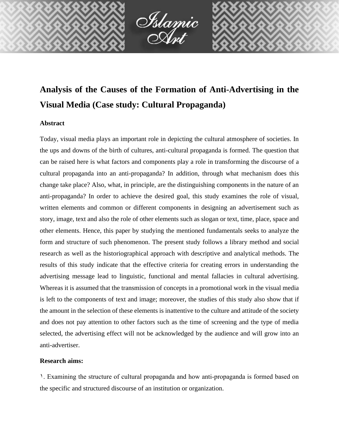

# **Analysis of the Causes of the Formation of Anti-Advertising in the Visual Media (Case study: Cultural Propaganda)**

# **Abstract**

Today, visual media plays an important role in depicting the cultural atmosphere of societies. In the ups and downs of the birth of cultures, anti-cultural propaganda is formed. The question that can be raised here is what factors and components play a role in transforming the discourse of a cultural propaganda into an anti-propaganda? In addition, through what mechanism does this change take place? Also, what, in principle, are the distinguishing components in the nature of an anti-propaganda? In order to achieve the desired goal, this study examines the role of visual, written elements and common or different components in designing an advertisement such as story, image, text and also the role of other elements such as slogan or text, time, place, space and other elements. Hence, this paper by studying the mentioned fundamentals seeks to analyze the form and structure of such phenomenon. The present study follows a library method and social research as well as the historiographical approach with descriptive and analytical methods. The results of this study indicate that the effective criteria for creating errors in understanding the advertising message lead to linguistic, functional and mental fallacies in cultural advertising. Whereas it is assumed that the transmission of concepts in a promotional work in the visual media is left to the components of text and image; moreover, the studies of this study also show that if the amount in the selection of these elements is inattentive to the culture and attitude of the society and does not pay attention to other factors such as the time of screening and the type of media selected, the advertising effect will not be acknowledged by the audience and will grow into an anti-advertiser.

### **Research aims:**

1. Examining the structure of cultural propaganda and how anti-propaganda is formed based on the specific and structured discourse of an institution or organization.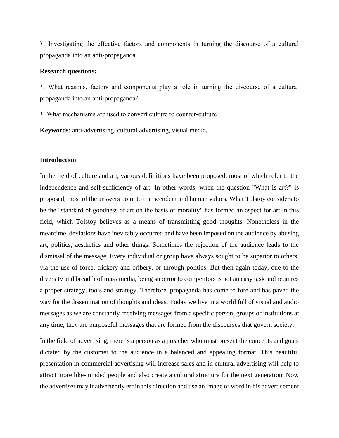2. Investigating the effective factors and components in turning the discourse of a cultural propaganda into an anti-propaganda.

# **Research questions:**

1. What reasons, factors and components play a role in turning the discourse of a cultural propaganda into an anti-propaganda?

2. What mechanisms are used to convert culture to counter-culture?

**Keywords**: anti-advertising, cultural advertising, visual media.

#### **Introduction**

In the field of culture and art, various definitions have been proposed, most of which refer to the independence and self-sufficiency of art. In other words, when the question "What is art?" is proposed, most of the answers point to transcendent and human values. What Tolstoy considers to be the "standard of goodness of art on the basis of morality" has formed an aspect for art in this field, which Tolstoy believes as a means of transmitting good thoughts. Nonetheless in the meantime, deviations have inevitably occurred and have been imposed on the audience by abusing art, politics, aesthetics and other things. Sometimes the rejection of the audience leads to the dismissal of the message. Every individual or group have always sought to be superior to others; via the use of force, trickery and bribery, or through politics. But then again today, due to the diversity and breadth of mass media, being superior to competitors is not an easy task and requires a proper strategy, tools and strategy. Therefore, propaganda has come to fore and has paved the way for the dissemination of thoughts and ideas. Today we live in a world full of visual and audio messages as we are constantly receiving messages from a specific person, groups or institutions at any time; they are purposeful messages that are formed from the discourses that govern society.

In the field of advertising, there is a person as a preacher who must present the concepts and goals dictated by the customer to the audience in a balanced and appealing format. This beautiful presentation in commercial advertising will increase sales and in cultural advertising will help to attract more like-minded people and also create a cultural structure for the next generation. Now the advertiser may inadvertently err in this direction and use an image or word in his advertisement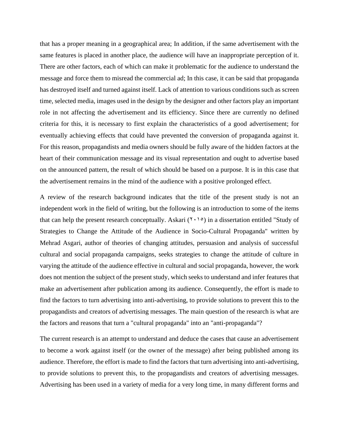that has a proper meaning in a geographical area; In addition, if the same advertisement with the same features is placed in another place, the audience will have an inappropriate perception of it. There are other factors, each of which can make it problematic for the audience to understand the message and force them to misread the commercial ad; In this case, it can be said that propaganda has destroyed itself and turned against itself. Lack of attention to various conditions such as screen time, selected media, images used in the design by the designer and other factors play an important role in not affecting the advertisement and its efficiency. Since there are currently no defined criteria for this, it is necessary to first explain the characteristics of a good advertisement; for eventually achieving effects that could have prevented the conversion of propaganda against it. For this reason, propagandists and media owners should be fully aware of the hidden factors at the heart of their communication message and its visual representation and ought to advertise based on the announced pattern, the result of which should be based on a purpose. It is in this case that the advertisement remains in the mind of the audience with a positive prolonged effect.

A review of the research background indicates that the title of the present study is not an independent work in the field of writing, but the following is an introduction to some of the items that can help the present research conceptually. Askari  $(1 \cdot 1)$  in a dissertation entitled "Study of Strategies to Change the Attitude of the Audience in Socio-Cultural Propaganda" written by Mehrad Asgari, author of theories of changing attitudes, persuasion and analysis of successful cultural and social propaganda campaigns, seeks strategies to change the attitude of culture in varying the attitude of the audience effective in cultural and social propaganda, however, the work does not mention the subject of the present study, which seeks to understand and infer features that make an advertisement after publication among its audience. Consequently, the effort is made to find the factors to turn advertising into anti-advertising, to provide solutions to prevent this to the propagandists and creators of advertising messages. The main question of the research is what are the factors and reasons that turn a "cultural propaganda" into an "anti-propaganda"?

The current research is an attempt to understand and deduce the cases that cause an advertisement to become a work against itself (or the owner of the message) after being published among its audience. Therefore, the effort is made to find the factors that turn advertising into anti-advertising, to provide solutions to prevent this, to the propagandists and creators of advertising messages. Advertising has been used in a variety of media for a very long time, in many different forms and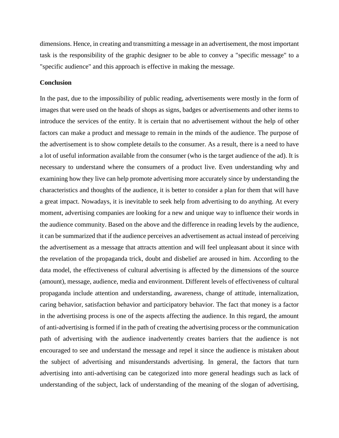dimensions. Hence, in creating and transmitting a message in an advertisement, the most important task is the responsibility of the graphic designer to be able to convey a "specific message" to a "specific audience" and this approach is effective in making the message.

## **Conclusion**

In the past, due to the impossibility of public reading, advertisements were mostly in the form of images that were used on the heads of shops as signs, badges or advertisements and other items to introduce the services of the entity. It is certain that no advertisement without the help of other factors can make a product and message to remain in the minds of the audience. The purpose of the advertisement is to show complete details to the consumer. As a result, there is a need to have a lot of useful information available from the consumer (who is the target audience of the ad). It is necessary to understand where the consumers of a product live. Even understanding why and examining how they live can help promote advertising more accurately since by understanding the characteristics and thoughts of the audience, it is better to consider a plan for them that will have a great impact. Nowadays, it is inevitable to seek help from advertising to do anything. At every moment, advertising companies are looking for a new and unique way to influence their words in the audience community. Based on the above and the difference in reading levels by the audience, it can be summarized that if the audience perceives an advertisement as actual instead of perceiving the advertisement as a message that attracts attention and will feel unpleasant about it since with the revelation of the propaganda trick, doubt and disbelief are aroused in him. According to the data model, the effectiveness of cultural advertising is affected by the dimensions of the source (amount), message, audience, media and environment. Different levels of effectiveness of cultural propaganda include attention and understanding, awareness, change of attitude, internalization, caring behavior, satisfaction behavior and participatory behavior. The fact that money is a factor in the advertising process is one of the aspects affecting the audience. In this regard, the amount of anti-advertising is formed if in the path of creating the advertising process or the communication path of advertising with the audience inadvertently creates barriers that the audience is not encouraged to see and understand the message and repel it since the audience is mistaken about the subject of advertising and misunderstands advertising. In general, the factors that turn advertising into anti-advertising can be categorized into more general headings such as lack of understanding of the subject, lack of understanding of the meaning of the slogan of advertising,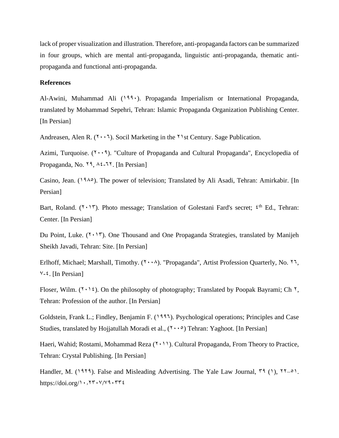lack of proper visualization and illustration. Therefore, anti-propaganda factors can be summarized in four groups, which are mental anti-propaganda, linguistic anti-propaganda, thematic antipropaganda and functional anti-propaganda.

# **References**

Al-Awini, Muhammad Ali  $(199)$ . Propaganda Imperialism or International Propaganda, translated by Mohammad Sepehri, Tehran: Islamic Propaganda Organization Publishing Center. [In Persian]

Andreasen, Alen R.  $(2\cdot \cdot 7)$ . Socil Marketing in the 21st Century. Sage Publication.

Azimi, Turquoise.  $(1 \cdot 1)$ . "Culture of Propaganda and Cultural Propaganda", Encyclopedia of Propaganda, No.  $19, 42-17$ . [In Persian]

Casino, Jean. (1986). The power of television; Translated by Ali Asadi, Tehran: Amirkabir. [In Persian]

Bart, Roland. (Y · 1 °). Photo message; Translation of Golestani Fard's secret; <sup>4th</sup> Ed., Tehran: Center. [In Persian]

Du Point, Luke.  $(7 \cdot 17)$ . One Thousand and One Propaganda Strategies, translated by Manijeh Sheikh Javadi, Tehran: Site. [In Persian]

Erlhoff, Michael; Marshall, Timothy.  $(2\cdots 4)$ . "Propaganda", Artist Profession Quarterly, No. 27,  $\forall$ - $\mathfrak{t}$ . [In Persian]

Floser, Wilm.  $(7 \cdot 12)$ . On the philosophy of photography; Translated by Poopak Bayrami; Ch  $7$ , Tehran: Profession of the author. [In Persian]

Goldstein, Frank L.; Findley, Benjamin F. (1995). Psychological operations; Principles and Case Studies, translated by Hojjatullah Moradi et al.,  $(7 \cdot \cdot \circ)$  Tehran: Yaghoot. [In Persian]

Haeri, Wahid; Rostami, Mohammad Reza (1.11). Cultural Propaganda, From Theory to Practice, Tehran: Crystal Publishing. [In Persian]

Handler, M. (1979). False and Misleading Advertising. The Yale Law Journal,  $79$  (1),  $17-\circ1$ .  $https://doi.org/1.77.77.774.772$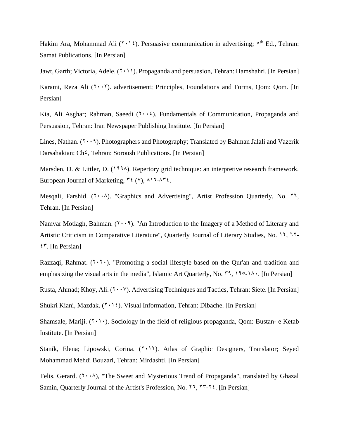Hakim Ara, Mohammad Ali ( $\gamma$ ,  $\gamma$ ). Persuasive communication in advertising; <sup>oth</sup> Ed., Tehran: Samat Publications. [In Persian]

Jawt, Garth; Victoria, Adele. (7,11). Propaganda and persuasion, Tehran: Hamshahri. [In Persian] Karami, Reza Ali  $(7 \cdot \cdot 7)$ . advertisement; Principles, Foundations and Forms, Qom: Qom. [In Persian]

Kia, Ali Asghar; Rahman, Saeedi  $(1 \cdot \cdot \cdot)$ . Fundamentals of Communication, Propaganda and Persuasion, Tehran: Iran Newspaper Publishing Institute. [In Persian]

Lines, Nathan.  $(Y \cdot \mathcal{A})$ . Photographers and Photography; Translated by Bahman Jalali and Vazerik Darsahakian; Ch<sup>2</sup>, Tehran: Soroush Publications. [In Persian]

Marsden, D. & Littler, D. (1994). Repertory grid technique: an interpretive research framework. European Journal of Marketing,  $\forall \xi$  (Y),  $\lambda$ 17- $\lambda \forall \xi$ .

Mesqali, Farshid.  $(Y \cdot \lambda)$ . "Graphics and Advertising", Artist Profession Quarterly, No.  $Y$ , Tehran. [In Persian]

Namvar Motlagh, Bahman.  $(7 \cdot 9)$ . "An Introduction to the Imagery of a Method of Literary and Artistic Criticism in Comparative Literature", Quarterly Journal of Literary Studies, No. 11, 11- $\mathfrak{c}$ . [In Persian]

Razzaqi, Rahmat.  $(7 \cdot 7)$ . "Promoting a social lifestyle based on the Qur'an and tradition and emphasizing the visual arts in the media", Islamic Art Quarterly, No.  $79$ ,  $190 - 16$ . [In Persian]

Rusta, Ahmad; Khoy, Ali.  $(Y \cdot Y)$ . Advertising Techniques and Tactics, Tehran: Siete. [In Persian]

Shukri Kiani, Mazdak.  $(7 \cdot 12)$ . Visual Information, Tehran: Dibache. [In Persian]

Shamsale, Mariji.  $(1 \cdot \cdot)$ . Sociology in the field of religious propaganda, Oom: Bustan- e Ketab Institute. [In Persian]

Stanik, Elena; Lipowski, Corina. (7,17). Atlas of Graphic Designers, Translator; Seved Mohammad Mehdi Bouzari, Tehran: Mirdashti. [In Persian]

Telis, Gerard.  $(1 \cdot \cdot \cdot)$ , "The Sweet and Mysterious Trend of Propaganda", translated by Ghazal Samin, Quarterly Journal of the Artist's Profession, No.  $1, 1, 1, 2, 2, \ldots$  [In Persian]